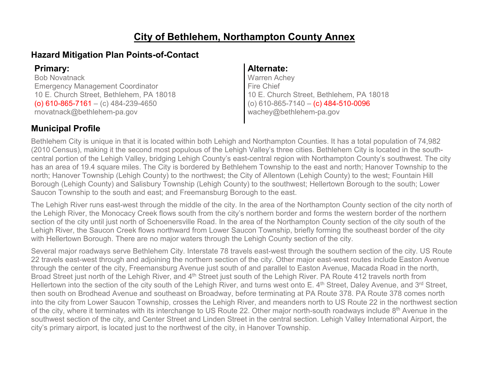### **City of Bethlehem, Northampton County Annex**

### **Hazard Mitigation Plan Points-of-Contact**

Bob Novatnack Emergency Management Coordinator 10 E. Church Street, Bethlehem, PA 18018 (o)  $610 - 865 - 7161 - (c) 484 - 239 - 4650$ rnovatnack@bethlehem-pa.gov

#### **Primary: Alternate:**

Warren Achey Fire Chief 10 E. Church Street, Bethlehem, PA 18018 (o) 610-865-7140 – (c) 484-510-0096 wachey@bethlehem-pa.gov

### **Municipal Profile**

Bethlehem City is unique in that it is located within both Lehigh and Northampton Counties. It has a total population of 74,982 (2010 Census), making it the second most populous of the Lehigh Valley's three cities. Bethlehem City is located in the southcentral portion of the Lehigh Valley, bridging Lehigh County's east-central region with Northampton County's southwest. The city has an area of 19.4 square miles. The City is bordered by Bethlehem Township to the east and north; Hanover Township to the north; Hanover Township (Lehigh County) to the northwest; the City of Allentown (Lehigh County) to the west; Fountain Hill Borough (Lehigh County) and Salisbury Township (Lehigh County) to the southwest; Hellertown Borough to the south; Lower Saucon Township to the south and east; and Freemansburg Borough to the east.

The Lehigh River runs east-west through the middle of the city. In the area of the Northampton County section of the city north of the Lehigh River, the Monocacy Creek flows south from the city's northern border and forms the western border of the northern section of the city until just north of Schoenersville Road. In the area of the Northampton County section of the city south of the Lehigh River, the Saucon Creek flows northward from Lower Saucon Township, briefly forming the southeast border of the city with Hellertown Borough. There are no major waters through the Lehigh County section of the city.

Several major roadways serve Bethlehem City. Interstate 78 travels east-west through the southern section of the city. US Route 22 travels east-west through and adjoining the northern section of the city. Other major east-west routes include Easton Avenue through the center of the city, Freemansburg Avenue just south of and parallel to Easton Avenue, Macada Road in the north, Broad Street just north of the Lehigh River, and 4<sup>th</sup> Street just south of the Lehigh River. PA Route 412 travels north from Hellertown into the section of the city south of the Lehigh River, and turns west onto E. 4<sup>th</sup> Street, Daley Avenue, and 3<sup>rd</sup> Street, then south on Brodhead Avenue and southeast on Broadway, before terminating at PA Route 378. PA Route 378 comes north into the city from Lower Saucon Township, crosses the Lehigh River, and meanders north to US Route 22 in the northwest section of the city, where it terminates with its interchange to US Route 22. Other major north-south roadways include 8<sup>th</sup> Avenue in the southwest section of the city, and Center Street and Linden Street in the central section. Lehigh Valley International Airport, the city's primary airport, is located just to the northwest of the city, in Hanover Township.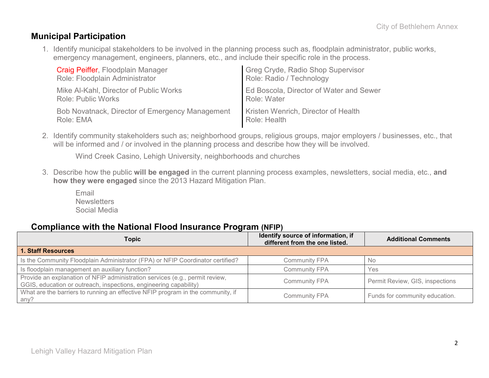#### **Municipal Participation**

1. Identify municipal stakeholders to be involved in the planning process such as, floodplain administrator, public works, emergency management, engineers, planners, etc., and include their specific role in the process.

| Craig Peiffer, Floodplain Manager<br>Role: Floodplain Administrator | Greg Cryde, Radio Shop Supervisor<br>Role: Radio / Technology |
|---------------------------------------------------------------------|---------------------------------------------------------------|
| Mike Al-Kahl, Director of Public Works                              | Ed Boscola, Director of Water and Sewer                       |
| <b>Role: Public Works</b>                                           | Role: Water                                                   |
| Bob Novatnack, Director of Emergency Management                     | Kristen Wenrich, Director of Health                           |
| Role: EMA                                                           | Role: Health                                                  |

2. Identify community stakeholders such as; neighborhood groups, religious groups, major employers / businesses, etc., that will be informed and / or involved in the planning process and describe how they will be involved.

Wind Creek Casino, Lehigh University, neighborhoods and churches

3. Describe how the public **will be engaged** in the current planning process examples, newsletters, social media, etc., **and how they were engaged** since the 2013 Hazard Mitigation Plan.

Email **Newsletters** Social Media

#### **Compliance with the National Flood Insurance Program (NFIP)**

| <b>Topic</b>                                                                                                                                      | Identify source of information, if<br>different from the one listed. | <b>Additional Comments</b>      |
|---------------------------------------------------------------------------------------------------------------------------------------------------|----------------------------------------------------------------------|---------------------------------|
| <b>1. Staff Resources</b>                                                                                                                         |                                                                      |                                 |
| Is the Community Floodplain Administrator (FPA) or NFIP Coordinator certified?                                                                    | <b>Community FPA</b>                                                 | No.                             |
| Is floodplain management an auxiliary function?                                                                                                   | <b>Community FPA</b>                                                 | Yes                             |
| Provide an explanation of NFIP administration services (e.g., permit review,<br>GGIS, education or outreach, inspections, engineering capability) | <b>Community FPA</b>                                                 | Permit Review, GIS, inspections |
| What are the barriers to running an effective NFIP program in the community, if<br>any?                                                           | <b>Community FPA</b>                                                 | Funds for community education.  |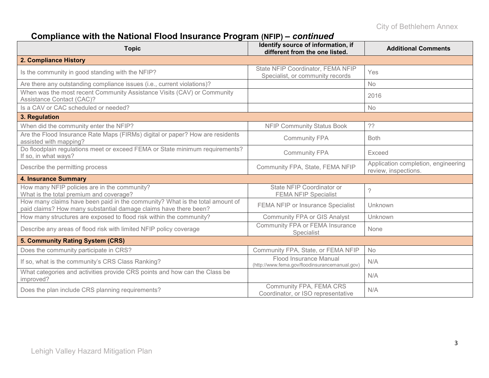# **Compliance with the National Flood Insurance Program (NFIP) –** *continued*

| <b>Topic</b>                                                                                                                                     | Identify source of information, if<br>different from the one listed.     | <b>Additional Comments</b>                                  |
|--------------------------------------------------------------------------------------------------------------------------------------------------|--------------------------------------------------------------------------|-------------------------------------------------------------|
| 2. Compliance History                                                                                                                            |                                                                          |                                                             |
| Is the community in good standing with the NFIP?                                                                                                 | State NFIP Coordinator, FEMA NFIP<br>Specialist, or community records    | Yes                                                         |
| Are there any outstanding compliance issues (i.e., current violations)?                                                                          |                                                                          | <b>No</b>                                                   |
| When was the most recent Community Assistance Visits (CAV) or Community<br>Assistance Contact (CAC)?                                             |                                                                          | 2016                                                        |
| Is a CAV or CAC scheduled or needed?                                                                                                             |                                                                          | <b>No</b>                                                   |
| 3. Regulation                                                                                                                                    |                                                                          |                                                             |
| When did the community enter the NFIP?                                                                                                           | <b>NFIP Community Status Book</b>                                        | ??                                                          |
| Are the Flood Insurance Rate Maps (FIRMs) digital or paper? How are residents<br>assisted with mapping?                                          | <b>Community FPA</b>                                                     | <b>Both</b>                                                 |
| Do floodplain regulations meet or exceed FEMA or State minimum requirements?<br>If so, in what ways?                                             | <b>Community FPA</b>                                                     | Exceed                                                      |
| Describe the permitting process                                                                                                                  | Community FPA, State, FEMA NFIP                                          | Application completion, engineering<br>review, inspections. |
| <b>4. Insurance Summary</b>                                                                                                                      |                                                                          |                                                             |
| How many NFIP policies are in the community?<br>What is the total premium and coverage?                                                          | State NFIP Coordinator or<br><b>FEMA NFIP Specialist</b>                 | $\overline{?}$                                              |
| How many claims have been paid in the community? What is the total amount of<br>paid claims? How many substantial damage claims have there been? | FEMA NFIP or Insurance Specialist                                        | Unknown                                                     |
| How many structures are exposed to flood risk within the community?                                                                              | <b>Community FPA or GIS Analyst</b>                                      | Unknown                                                     |
| Describe any areas of flood risk with limited NFIP policy coverage                                                                               | Community FPA or FEMA Insurance<br>Specialist                            | None                                                        |
| 5. Community Rating System (CRS)                                                                                                                 |                                                                          |                                                             |
| Does the community participate in CRS?                                                                                                           | Community FPA, State, or FEMA NFIP                                       | No                                                          |
| If so, what is the community's CRS Class Ranking?                                                                                                | Flood Insurance Manual<br>(http://www.fema.gov/floodinsurancemanual.gov) | N/A                                                         |
| What categories and activities provide CRS points and how can the Class be<br>improved?                                                          |                                                                          | N/A                                                         |
| Does the plan include CRS planning requirements?                                                                                                 | Community FPA, FEMA CRS<br>Coordinator, or ISO representative            | N/A                                                         |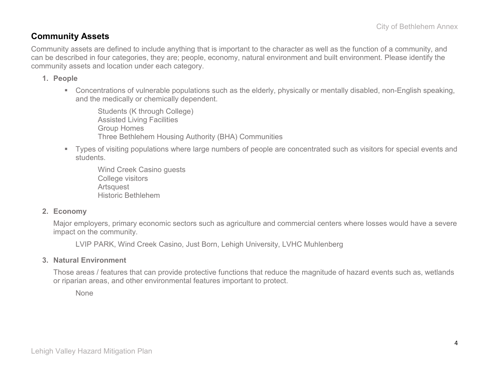#### **Community Assets**

Community assets are defined to include anything that is important to the character as well as the function of a community, and can be described in four categories, they are; people, economy, natural environment and built environment. Please identify the community assets and location under each category.

#### **1. People**

 Concentrations of vulnerable populations such as the elderly, physically or mentally disabled, non-English speaking, and the medically or chemically dependent.

Students (K through College) Assisted Living Facilities Group Homes Three Bethlehem Housing Authority (BHA) Communities

 Types of visiting populations where large numbers of people are concentrated such as visitors for special events and students.

Wind Creek Casino guests College visitors **Artsquest** Historic Bethlehem

#### **2. Economy**

Major employers, primary economic sectors such as agriculture and commercial centers where losses would have a severe impact on the community.

LVIP PARK, Wind Creek Casino, Just Born, Lehigh University, LVHC Muhlenberg

#### **3. Natural Environment**

Those areas / features that can provide protective functions that reduce the magnitude of hazard events such as, wetlands or riparian areas, and other environmental features important to protect.

None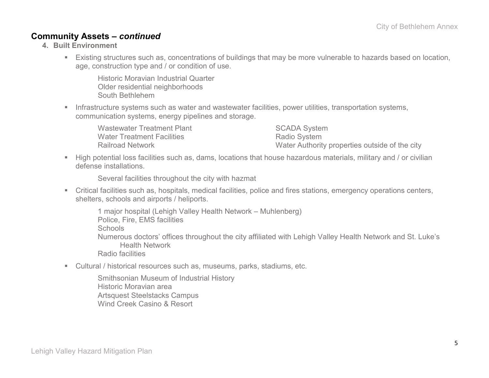#### **Community Assets –** *continued*

- **4. Built Environment**
	- Existing structures such as, concentrations of buildings that may be more vulnerable to hazards based on location, age, construction type and / or condition of use.

Historic Moravian Industrial Quarter Older residential neighborhoods South Bethlehem

**Infrastructure systems such as water and wastewater facilities, power utilities, transportation systems,** communication systems, energy pipelines and storage.

| <b>Wastewater Treatment Plant</b> | <b>SCADA System</b>                            |
|-----------------------------------|------------------------------------------------|
| <b>Water Treatment Facilities</b> | Radio System                                   |
| <b>Railroad Network</b>           | Water Authority properties outside of the city |

 High potential loss facilities such as, dams, locations that house hazardous materials, military and / or civilian defense installations.

Several facilities throughout the city with hazmat

- Critical facilities such as, hospitals, medical facilities, police and fires stations, emergency operations centers, shelters, schools and airports / heliports.
	- 1 major hospital (Lehigh Valley Health Network Muhlenberg) Police, Fire, EMS facilities **Schools** Numerous doctors' offices throughout the city affiliated with Lehigh Valley Health Network and St. Luke's Health Network Radio facilities
- Cultural / historical resources such as, museums, parks, stadiums, etc.

Smithsonian Museum of Industrial History Historic Moravian area Artsquest Steelstacks Campus Wind Creek Casino & Resort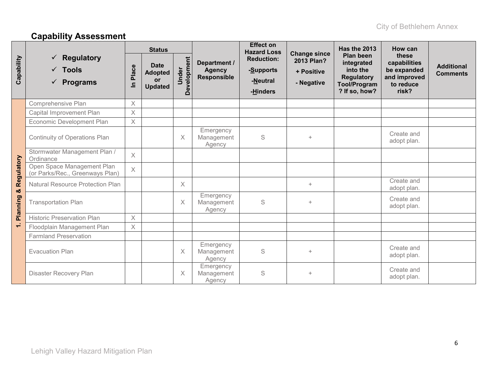# **Capability Assessment**

|                 |                                                                                     |                   | <b>Status</b>                                         | <b>Hazard Loss</b>   |                                              | <b>Effect on</b>                                       | Has the 2013<br><b>Change since</b>    |                                                                                                  | How can                                                                    |                                      |
|-----------------|-------------------------------------------------------------------------------------|-------------------|-------------------------------------------------------|----------------------|----------------------------------------------|--------------------------------------------------------|----------------------------------------|--------------------------------------------------------------------------------------------------|----------------------------------------------------------------------------|--------------------------------------|
| Capability      | $\checkmark$ Regulatory<br>Tools<br>$\checkmark$<br><b>Programs</b><br>$\checkmark$ | Place<br>$\equiv$ | <b>Date</b><br><b>Adopted</b><br>or<br><b>Updated</b> | Development<br>Under | Department /<br><b>Agency</b><br>Responsible | <b>Reduction:</b><br>-Supports<br>-Neutral<br>-Hinders | 2013 Plan?<br>+ Positive<br>- Negative | Plan been<br>integrated<br>into the<br><b>Regulatory</b><br><b>Tool/Program</b><br>? If so, how? | these<br>capabilities<br>be expanded<br>and improved<br>to reduce<br>risk? | <b>Additional</b><br><b>Comments</b> |
|                 | Comprehensive Plan                                                                  | $\times$          |                                                       |                      |                                              |                                                        |                                        |                                                                                                  |                                                                            |                                      |
|                 | Capital Improvement Plan                                                            | $\times$          |                                                       |                      |                                              |                                                        |                                        |                                                                                                  |                                                                            |                                      |
|                 | Economic Development Plan                                                           | $\times$          |                                                       |                      |                                              |                                                        |                                        |                                                                                                  |                                                                            |                                      |
|                 | <b>Continuity of Operations Plan</b>                                                |                   |                                                       | X                    | Emergency<br>Management<br>Agency            | S                                                      | $+$                                    |                                                                                                  | Create and<br>adopt plan.                                                  |                                      |
| Regulatory      | Stormwater Management Plan /<br>Ordinance                                           | $\times$          |                                                       |                      |                                              |                                                        |                                        |                                                                                                  |                                                                            |                                      |
|                 | Open Space Management Plan<br>(or Parks/Rec., Greenways Plan)                       | $\times$          |                                                       |                      |                                              |                                                        |                                        |                                                                                                  |                                                                            |                                      |
| oð              | Natural Resource Protection Plan                                                    |                   |                                                       | $\times$             |                                              |                                                        | $+$                                    |                                                                                                  | Create and<br>adopt plan.                                                  |                                      |
| <b>Planning</b> | <b>Transportation Plan</b>                                                          |                   |                                                       | $\times$             | Emergency<br>Management<br>Agency            | S                                                      | $+$                                    |                                                                                                  | Create and<br>adopt plan.                                                  |                                      |
|                 | <b>Historic Preservation Plan</b>                                                   | $\times$          |                                                       |                      |                                              |                                                        |                                        |                                                                                                  |                                                                            |                                      |
| $\div$          | Floodplain Management Plan                                                          | $\times$          |                                                       |                      |                                              |                                                        |                                        |                                                                                                  |                                                                            |                                      |
|                 | <b>Farmland Preservation</b>                                                        |                   |                                                       |                      |                                              |                                                        |                                        |                                                                                                  |                                                                            |                                      |
|                 | <b>Evacuation Plan</b>                                                              |                   |                                                       | $\times$             | Emergency<br>Management<br>Agency            | S                                                      | $+$                                    |                                                                                                  | Create and<br>adopt plan.                                                  |                                      |
|                 | <b>Disaster Recovery Plan</b>                                                       |                   |                                                       | X                    | Emergency<br>Management<br>Agency            | $\mathbb S$                                            | $+$                                    |                                                                                                  | Create and<br>adopt plan.                                                  |                                      |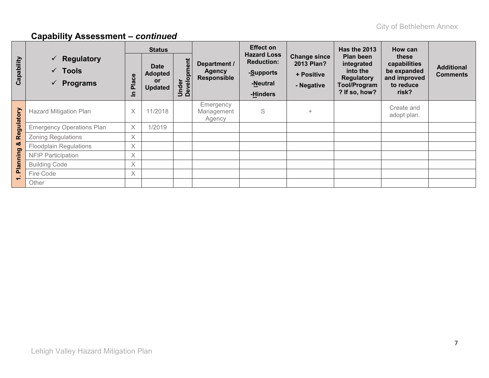|                          | <b>Status</b>                                                                | <b>Effect on</b> |                                                       | <b>Has the 2013</b>  | How can                                      |                                                                              |                                                               |                                                                                                  |                                                                            |                                      |
|--------------------------|------------------------------------------------------------------------------|------------------|-------------------------------------------------------|----------------------|----------------------------------------------|------------------------------------------------------------------------------|---------------------------------------------------------------|--------------------------------------------------------------------------------------------------|----------------------------------------------------------------------------|--------------------------------------|
| Capability               | <b>Regulatory</b><br>$\sqrt{ }$<br>$\sqrt{ }$ Tools<br>$\checkmark$ Programs | Place<br>드       | <b>Date</b><br><b>Adopted</b><br>or<br><b>Updated</b> | Under<br>Development | Department /<br><b>Agency</b><br>Responsible | <b>Hazard Loss</b><br><b>Reduction:</b><br>-Supports<br>-Neutral<br>-Hinders | <b>Change since</b><br>2013 Plan?<br>+ Positive<br>- Negative | Plan been<br>integrated<br>into the<br><b>Regulatory</b><br><b>Tool/Program</b><br>? If so, how? | these<br>capabilities<br>be expanded<br>and improved<br>to reduce<br>risk? | <b>Additional</b><br><b>Comments</b> |
| Regulatory               | <b>Hazard Mitigation Plan</b>                                                | $\times$         | 11/2018                                               |                      | Emergency<br>Management<br>Agency            | S                                                                            | $\ddot{}$                                                     |                                                                                                  | Create and<br>adopt plan.                                                  |                                      |
|                          | <b>Emergency Operations Plan</b>                                             | $\times$         | 1/2019                                                |                      |                                              |                                                                              |                                                               |                                                                                                  |                                                                            |                                      |
|                          | <b>Zoning Regulations</b>                                                    | X                |                                                       |                      |                                              |                                                                              |                                                               |                                                                                                  |                                                                            |                                      |
| ಯ                        | <b>Floodplain Regulations</b>                                                | X                |                                                       |                      |                                              |                                                                              |                                                               |                                                                                                  |                                                                            |                                      |
|                          | <b>NFIP Participation</b>                                                    | $\times$         |                                                       |                      |                                              |                                                                              |                                                               |                                                                                                  |                                                                            |                                      |
| Planning                 | <b>Building Code</b>                                                         | X                |                                                       |                      |                                              |                                                                              |                                                               |                                                                                                  |                                                                            |                                      |
|                          | Fire Code                                                                    | X                |                                                       |                      |                                              |                                                                              |                                                               |                                                                                                  |                                                                            |                                      |
| $\overline{\phantom{0}}$ | Other                                                                        |                  |                                                       |                      |                                              |                                                                              |                                                               |                                                                                                  |                                                                            |                                      |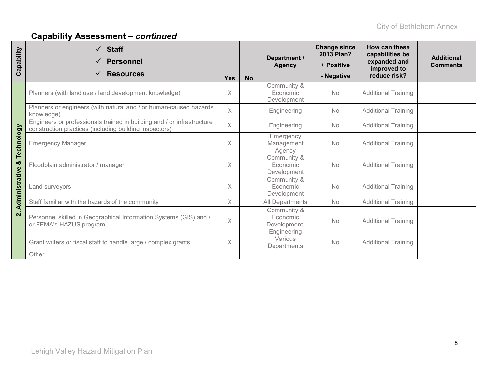| Capability              | $\checkmark$ Staff<br><b>Personnel</b><br><b>Resources</b>                                                                       | <b>Yes</b> | <b>No</b> | Department /<br><b>Agency</b>                          | <b>Change since</b><br><b>2013 Plan?</b><br>+ Positive<br>- Negative | How can these<br>capabilities be<br>expanded and<br>improved to<br>reduce risk? | <b>Additional</b><br><b>Comments</b> |
|-------------------------|----------------------------------------------------------------------------------------------------------------------------------|------------|-----------|--------------------------------------------------------|----------------------------------------------------------------------|---------------------------------------------------------------------------------|--------------------------------------|
|                         | Planners (with land use / land development knowledge)                                                                            | X          |           | Community &<br>Economic<br>Development                 | <b>No</b>                                                            | <b>Additional Training</b>                                                      |                                      |
|                         | Planners or engineers (with natural and / or human-caused hazards<br>knowledge)                                                  | $\times$   |           | Engineering                                            | <b>No</b>                                                            | <b>Additional Training</b>                                                      |                                      |
|                         | Engineers or professionals trained in building and / or infrastructure<br>construction practices (including building inspectors) | $\times$   |           | Engineering                                            | No                                                                   | <b>Additional Training</b>                                                      |                                      |
| Technology              | <b>Emergency Manager</b>                                                                                                         | $\times$   |           | Emergency<br>Management<br>Agency                      | <b>No</b>                                                            | <b>Additional Training</b>                                                      |                                      |
| ಹ                       | Floodplain administrator / manager                                                                                               | X          |           | Community &<br>Economic<br>Development                 | <b>No</b>                                                            | <b>Additional Training</b>                                                      |                                      |
| Administrative          | Land surveyors                                                                                                                   | $\times$   |           | Community &<br>Economic<br>Development                 | <b>No</b>                                                            | <b>Additional Training</b>                                                      |                                      |
|                         | Staff familiar with the hazards of the community                                                                                 | $\times$   |           | All Departments                                        | <b>No</b>                                                            | <b>Additional Training</b>                                                      |                                      |
| $\overline{\mathbf{N}}$ | Personnel skilled in Geographical Information Systems (GIS) and /<br>or FEMA's HAZUS program                                     |            |           | Community &<br>Economic<br>Development,<br>Engineering | <b>No</b>                                                            | <b>Additional Training</b>                                                      |                                      |
|                         | Grant writers or fiscal staff to handle large / complex grants                                                                   | X.         |           | Various<br>Departments                                 | <b>No</b>                                                            | <b>Additional Training</b>                                                      |                                      |
|                         | Other                                                                                                                            |            |           |                                                        |                                                                      |                                                                                 |                                      |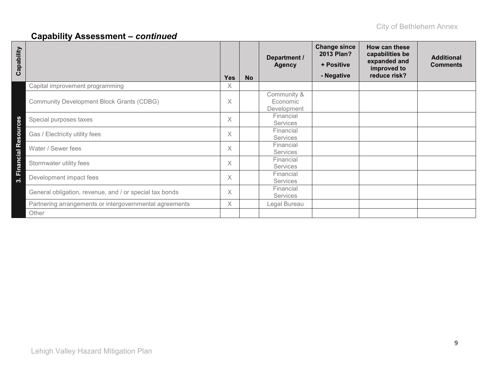| Capability          |                                                         | <b>Yes</b> | <b>No</b> | Department /<br><b>Agency</b>          | <b>Change since</b><br>2013 Plan?<br>+ Positive<br>- Negative | How can these<br>capabilities be<br>expanded and<br>improved to<br>reduce risk? | <b>Additional</b><br><b>Comments</b> |
|---------------------|---------------------------------------------------------|------------|-----------|----------------------------------------|---------------------------------------------------------------|---------------------------------------------------------------------------------|--------------------------------------|
|                     | Capital improvement programming                         | X.         |           |                                        |                                                               |                                                                                 |                                      |
|                     | <b>Community Development Block Grants (CDBG)</b>        | X          |           | Community &<br>Economic<br>Development |                                                               |                                                                                 |                                      |
|                     | Special purposes taxes                                  | $\times$   |           | Financial<br><b>Services</b>           |                                                               |                                                                                 |                                      |
| Financial Resources | Gas / Electricity utility fees                          | $\times$   |           | Financial<br><b>Services</b>           |                                                               |                                                                                 |                                      |
|                     | Water / Sewer fees                                      | X          |           | Financial<br><b>Services</b>           |                                                               |                                                                                 |                                      |
|                     | Stormwater utility fees                                 | X          |           | Financial<br><b>Services</b>           |                                                               |                                                                                 |                                      |
| က္ပ                 | Development impact fees                                 | X          |           | Financial<br><b>Services</b>           |                                                               |                                                                                 |                                      |
|                     | General obligation, revenue, and / or special tax bonds | X          |           | Financial<br>Services                  |                                                               |                                                                                 |                                      |
|                     | Partnering arrangements or intergovernmental agreements | $\times$   |           | Legal Bureau                           |                                                               |                                                                                 |                                      |
|                     | Other                                                   |            |           |                                        |                                                               |                                                                                 |                                      |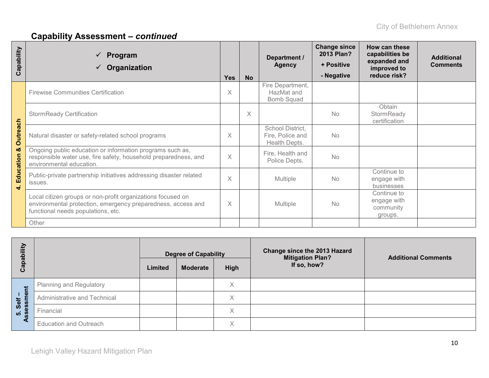| Capability     | Program<br>$\checkmark$<br>Organization                                                                                                                           | <b>Yes</b> | <b>No</b> | Department /<br><b>Agency</b>                         | <b>Change since</b><br>2013 Plan?<br>+ Positive<br>- Negative | How can these<br>capabilities be<br>expanded and<br>improved to<br>reduce risk? | <b>Additional</b><br><b>Comments</b> |
|----------------|-------------------------------------------------------------------------------------------------------------------------------------------------------------------|------------|-----------|-------------------------------------------------------|---------------------------------------------------------------|---------------------------------------------------------------------------------|--------------------------------------|
|                | <b>Firewise Communities Certification</b>                                                                                                                         | $\times$   |           | Fire Department,<br>HazMat and<br><b>Bomb Squad</b>   |                                                               |                                                                                 |                                      |
|                | <b>StormReady Certification</b>                                                                                                                                   |            | $\times$  |                                                       | No                                                            | Obtain<br>StormReady<br>certification                                           |                                      |
| Outreach       | Natural disaster or safety-related school programs                                                                                                                | $\times$   |           | School District,<br>Fire, Police and<br>Health Depts. | No                                                            |                                                                                 |                                      |
| ೲ<br>Education | Ongoing public education or information programs such as,<br>responsible water use, fire safety, household preparedness, and<br>environmental education.          | $\times$   |           | Fire, Health and<br>Police Depts.                     | No                                                            |                                                                                 |                                      |
| $\vec{r}$      | Public-private partnership initiatives addressing disaster related<br>issues.                                                                                     | $\times$   |           | <b>Multiple</b>                                       | No                                                            | Continue to<br>engage with<br>businesses                                        |                                      |
|                | Local citizen groups or non-profit organizations focused on<br>environmental protection, emergency preparedness, access and<br>functional needs populations, etc. | $\times$   |           | <b>Multiple</b>                                       | No                                                            | Continue to<br>engage with<br>community<br>groups.                              |                                      |
|                | Other                                                                                                                                                             |            |           |                                                       |                                                               |                                                                                 |                                      |

| ility<br>Capabi    |                                | <b>Degree of Capability</b><br><b>High</b><br>Limited<br><b>Moderate</b> |  | Change since the 2013 Hazard<br><b>Mitigation Plan?</b><br>If so, how? | <b>Additional Comments</b> |  |
|--------------------|--------------------------------|--------------------------------------------------------------------------|--|------------------------------------------------------------------------|----------------------------|--|
| Ĕ                  | <b>Planning and Regulatory</b> |                                                                          |  | X                                                                      |                            |  |
| 1 <u>o</u><br>Self | Administrative and Technical   |                                                                          |  | X                                                                      |                            |  |
| sessi<br><b>10</b> | Financial                      |                                                                          |  | X                                                                      |                            |  |
|                    | <b>Education and Outreach</b>  |                                                                          |  | Χ                                                                      |                            |  |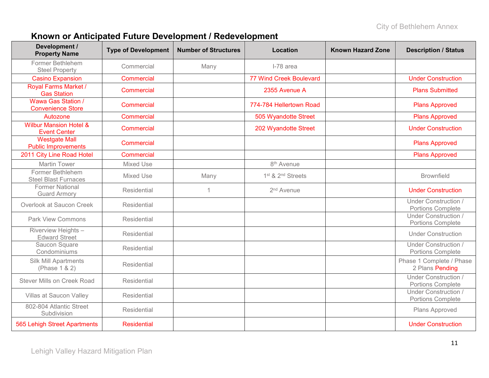# **Known or Anticipated Future Development / Redevelopment**

| Development /<br><b>Property Name</b>                    | <b>Type of Development</b> | <b>Number of Structures</b> | Location                                  | <b>Known Hazard Zone</b> | <b>Description / Status</b>                             |
|----------------------------------------------------------|----------------------------|-----------------------------|-------------------------------------------|--------------------------|---------------------------------------------------------|
| Former Bethlehem<br><b>Steel Property</b>                | Commercial                 | Many                        | I-78 area                                 |                          |                                                         |
| <b>Casino Expansion</b>                                  | Commercial                 |                             | <b>77 Wind Creek Boulevard</b>            |                          | <b>Under Construction</b>                               |
| <b>Royal Farms Market /</b><br><b>Gas Station</b>        | Commercial                 |                             | 2355 Avenue A                             |                          | <b>Plans Submitted</b>                                  |
| <b>Wawa Gas Station /</b><br><b>Convenience Store</b>    | Commercial                 |                             | 774-784 Hellertown Road                   |                          | <b>Plans Approved</b>                                   |
| Autozone                                                 | Commercial                 |                             | 505 Wyandotte Street                      |                          | <b>Plans Approved</b>                                   |
| <b>Wilbur Mansion Hotel &amp;</b><br><b>Event Center</b> | Commercial                 |                             | 202 Wyandotte Street                      |                          | <b>Under Construction</b>                               |
| <b>Westgate Mall</b><br><b>Public Improvements</b>       | Commercial                 |                             |                                           |                          | <b>Plans Approved</b>                                   |
| 2011 City Line Road Hotel                                | Commercial                 |                             |                                           |                          | <b>Plans Approved</b>                                   |
| <b>Martin Tower</b>                                      | Mixed Use                  |                             | 8 <sup>th</sup> Avenue                    |                          |                                                         |
| Former Bethlehem<br><b>Steel Blast Furnaces</b>          | Mixed Use                  | Many                        | 1 <sup>st</sup> & 2 <sup>nd</sup> Streets |                          | <b>Brownfield</b>                                       |
| <b>Former National</b><br><b>Guard Armory</b>            | Residential                | $\overline{1}$              | 2 <sup>nd</sup> Avenue                    |                          | <b>Under Construction</b>                               |
| Overlook at Saucon Creek                                 | Residential                |                             |                                           |                          | Under Construction /<br>Portions Complete               |
| <b>Park View Commons</b>                                 | Residential                |                             |                                           |                          | Under Construction /<br>Portions Complete               |
| Riverview Heights -<br><b>Edward Street</b>              | Residential                |                             |                                           |                          | <b>Under Construction</b>                               |
| Saucon Square<br>Condominiums                            | Residential                |                             |                                           |                          | Under Construction /<br>Portions Complete               |
| Silk Mill Apartments<br>(Phase 1 & 2)                    | Residential                |                             |                                           |                          | Phase 1 Complete / Phase<br>2 Plans Pending             |
| Stever Mills on Creek Road                               | Residential                |                             |                                           |                          | <b>Under Construction /</b><br><b>Portions Complete</b> |
| Villas at Saucon Valley                                  | Residential                |                             |                                           |                          | Under Construction /<br>Portions Complete               |
| 802-804 Atlantic Street<br>Subdivision                   | Residential                |                             |                                           |                          | Plans Approved                                          |
| 565 Lehigh Street Apartments                             | <b>Residential</b>         |                             |                                           |                          | <b>Under Construction</b>                               |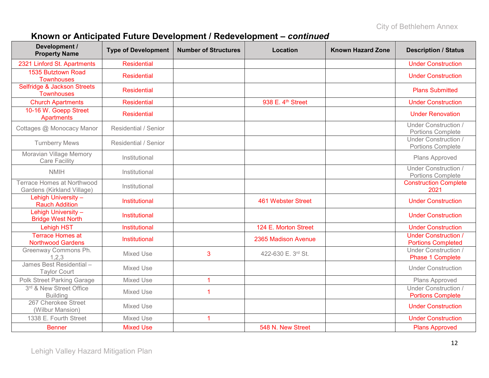### **Known or Anticipated Future Development / Redevelopment –** *continued*

| Development /<br><b>Property Name</b>                    | <b>Type of Development</b> | <b>Number of Structures</b> | Location                  | <b>Known Hazard Zone</b> | <b>Description / Status</b>                              |
|----------------------------------------------------------|----------------------------|-----------------------------|---------------------------|--------------------------|----------------------------------------------------------|
| 2321 Linford St. Apartments                              | <b>Residential</b>         |                             |                           |                          | <b>Under Construction</b>                                |
| 1535 Butztown Road<br><b>Townhouses</b>                  | <b>Residential</b>         |                             |                           |                          | <b>Under Construction</b>                                |
| Selfridge & Jackson Streets<br>Townhouses                | <b>Residential</b>         |                             |                           |                          | <b>Plans Submitted</b>                                   |
| <b>Church Apartments</b>                                 | <b>Residential</b>         |                             | 938 E. 4th Street         |                          | <b>Under Construction</b>                                |
| 10-16 W. Goepp Street<br><b>Apartments</b>               | <b>Residential</b>         |                             |                           |                          | <b>Under Renovation</b>                                  |
| Cottages @ Monocacy Manor                                | Residential / Senior       |                             |                           |                          | <b>Under Construction /</b><br><b>Portions Complete</b>  |
| <b>Turnberry Mews</b>                                    | Residential / Senior       |                             |                           |                          | <b>Under Construction /</b><br>Portions Complete         |
| Moravian Village Memory<br><b>Care Facility</b>          | Institutional              |                             |                           |                          | Plans Approved                                           |
| <b>NMIH</b>                                              | Institutional              |                             |                           |                          | <b>Under Construction /</b><br>Portions Complete         |
| Terrace Homes at Northwood<br>Gardens (Kirkland Village) | Institutional              |                             |                           |                          | <b>Construction Complete</b><br>2021                     |
| Lehigh University -<br><b>Rauch Addition</b>             | Institutional              |                             | <b>461 Webster Street</b> |                          | <b>Under Construction</b>                                |
| Lehigh University-<br><b>Bridge West North</b>           | <b>Institutional</b>       |                             |                           |                          | <b>Under Construction</b>                                |
| Lehigh HST                                               | Institutional              |                             | 124 E. Morton Street      |                          | <b>Under Construction</b>                                |
| <b>Terrace Homes at</b><br><b>Northwood Gardens</b>      | Institutional              |                             | 2365 Madison Avenue       |                          | <b>Under Construction /</b><br><b>Portions Completed</b> |
| Greenway Commons Ph.<br>1.2.3                            | <b>Mixed Use</b>           | 3                           | 422-630 E. 3rd St.        |                          | <b>Under Construction /</b><br><b>Phase 1 Complete</b>   |
| James Best Residential-<br><b>Taylor Court</b>           | <b>Mixed Use</b>           |                             |                           |                          | <b>Under Construction</b>                                |
| Polk Street Parking Garage                               | Mixed Use                  | 1                           |                           |                          | Plans Approved                                           |
| 3rd & New Street Office<br><b>Building</b>               | <b>Mixed Use</b>           | -1                          |                           |                          | <b>Under Construction /</b><br><b>Portions Complete</b>  |
| 267 Cherokee Street<br>(Wilbur Mansion)                  | <b>Mixed Use</b>           |                             |                           |                          | <b>Under Construction</b>                                |
| 1338 E. Fourth Street                                    | Mixed Use                  | -1                          |                           |                          | <b>Under Construction</b>                                |
| <b>Benner</b>                                            | <b>Mixed Use</b>           |                             | 548 N. New Street         |                          | <b>Plans Approved</b>                                    |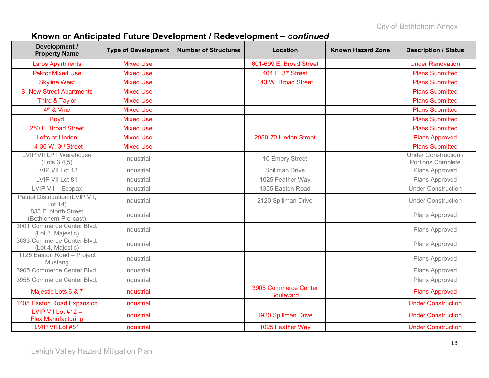### **Known or Anticipated Future Development / Redevelopment –** *continued*

| Development /<br><b>Property Name</b>           | <b>Type of Development</b> | <b>Number of Structures</b> | Location                                 | <b>Known Hazard Zone</b> | <b>Description / Status</b>               |
|-------------------------------------------------|----------------------------|-----------------------------|------------------------------------------|--------------------------|-------------------------------------------|
| <b>Laros Apartments</b>                         | <b>Mixed Use</b>           |                             | 601-699 E. Broad Street                  |                          | <b>Under Renovation</b>                   |
| <b>Pektor Mixed Use</b>                         | <b>Mixed Use</b>           |                             | 404 E. 3rd Street                        |                          | <b>Plans Submitted</b>                    |
| <b>Skyline West</b>                             | <b>Mixed Use</b>           |                             | 143 W. Broad Street                      |                          | <b>Plans Submitted</b>                    |
| S. New Street Apartments                        | <b>Mixed Use</b>           |                             |                                          |                          | <b>Plans Submitted</b>                    |
| Third & Taylor                                  | <b>Mixed Use</b>           |                             |                                          |                          | <b>Plans Submitted</b>                    |
| 4 <sup>th</sup> & Vine                          | <b>Mixed Use</b>           |                             |                                          |                          | <b>Plans Submitted</b>                    |
| <b>Boyd</b>                                     | <b>Mixed Use</b>           |                             |                                          |                          | <b>Plans Submitted</b>                    |
| 250 E. Broad Street                             | <b>Mixed Use</b>           |                             |                                          |                          | <b>Plans Submitted</b>                    |
| <b>Lofts at Linden</b>                          | <b>Mixed Use</b>           |                             | 2950-70 Linden Street                    |                          | <b>Plans Approved</b>                     |
| 14-36 W. 3rd Street                             | <b>Mixed Use</b>           |                             |                                          |                          | <b>Plans Submitted</b>                    |
| LVIP VII LPT Warehouse<br>(Lots 3, 4, 5)        | Industrial                 |                             | 10 Emery Street                          |                          | Under Construction /<br>Portions Complete |
| LVIP VII Lot 13                                 | Industrial                 |                             | Spillman Drive                           |                          | Plans Approved                            |
| LVIP VII Lot 81                                 | Industrial                 |                             | 1025 Feather Way                         |                          | Plans Approved                            |
| LVIP VII - Ecopax                               | Industrial                 |                             | 1355 Easton Road                         |                          | <b>Under Construction</b>                 |
| Patriot Distribution (LVIP VII,<br>Lot $14)$    | Industrial                 |                             | 2120 Spillman Drive                      |                          | <b>Under Construction</b>                 |
| 835 E. North Street<br>(Bethlehem Pre-cast)     | Industrial                 |                             |                                          |                          | Plans Approved                            |
| 3001 Commerce Center Blvd.<br>(Lot 3, Majestic) | Industrial                 |                             |                                          |                          | Plans Approved                            |
| 3633 Commerce Center Blvd.<br>(Lot 4, Majestic) | Industrial                 |                             |                                          |                          | Plans Approved                            |
| 1125 Easton Road - Project<br>Mustang           | Industrial                 |                             |                                          |                          | Plans Approved                            |
| 3905 Commerce Center Blvd.                      | Industrial                 |                             |                                          |                          | Plans Approved                            |
| 3955 Commerce Center Blvd.                      | Industrial                 |                             |                                          |                          | Plans Approved                            |
| Majestic Lots 6 & 7                             | Industrial                 |                             | 3905 Commerce Center<br><b>Boulevard</b> |                          | <b>Plans Approved</b>                     |
| 1405 Easton Road Expansion                      | <b>Industrial</b>          |                             |                                          |                          | <b>Under Construction</b>                 |
| LVIP VII Lot #12 -<br><b>Flex Manufacturing</b> | Industrial                 |                             | 1920 Spillman Drive                      |                          | <b>Under Construction</b>                 |
| LVIP VII Lot #81                                | Industrial                 |                             | 1025 Feather Way                         |                          | <b>Under Construction</b>                 |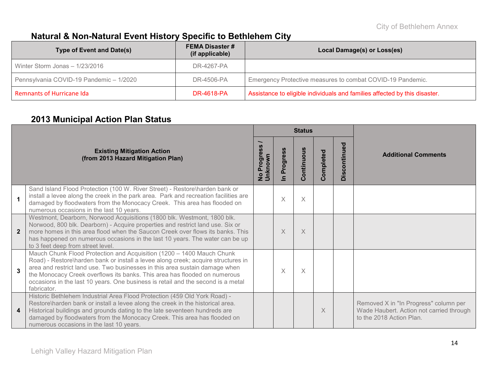### **Natural & Non-Natural Event History Specific to Bethlehem City**

| <b>Type of Event and Date(s)</b>        | <b>FEMA Disaster #</b><br>(if applicable) | Local Damage(s) or Loss(es)                                                |
|-----------------------------------------|-------------------------------------------|----------------------------------------------------------------------------|
| Winter Storm Jonas - 1/23/2016          | DR-4267-PA                                |                                                                            |
| Pennsylvania COVID-19 Pandemic - 1/2020 | DR-4506-PA                                | Emergency Protective measures to combat COVID-19 Pandemic.                 |
| Remnants of Hurricane Ida               | <b>DR-4618-PA</b>                         | Assistance to eligible individuals and families affected by this disaster. |

#### **2013 Municipal Action Plan Status**

|                | --------------------                                                                                                                                                                                                                                                                                                                                                                                                      |                          |                                         | <b>Status</b>  |           |              |                                                                                                               |
|----------------|---------------------------------------------------------------------------------------------------------------------------------------------------------------------------------------------------------------------------------------------------------------------------------------------------------------------------------------------------------------------------------------------------------------------------|--------------------------|-----------------------------------------|----------------|-----------|--------------|---------------------------------------------------------------------------------------------------------------|
|                | <b>Existing Mitigation Action</b><br>(from 2013 Hazard Mitigation Plan)                                                                                                                                                                                                                                                                                                                                                   | Progres<br>known<br>ូ ទិ | rogress<br>$\mathbf{a}$<br>$\mathbf{r}$ | ontinuous<br>Õ | Completed | Discontinued | <b>Additional Comments</b>                                                                                    |
|                | Sand Island Flood Protection (100 W. River Street) - Restore\harden bank or<br>install a levee along the creek in the park area. Park and recreation facilities are<br>damaged by floodwaters from the Monocacy Creek. This area has flooded on<br>numerous occasions in the last 10 years.                                                                                                                               |                          | $\times$                                | $\times$       |           |              |                                                                                                               |
| $\overline{2}$ | Westmont, Dearborn, Norwood Acquisitions (1800 blk. Westmont, 1800 blk.<br>Norwood, 800 blk. Dearborn) - Acquire properties and restrict land use. Six or<br>more homes in this area flood when the Saucon Creek over flows its banks. This<br>has happened on numerous occasions in the last 10 years. The water can be up<br>to 3 feet deep from street level.                                                          |                          | $\times$                                | $\times$       |           |              |                                                                                                               |
| 3              | Mauch Chunk Flood Protection and Acquisition (1200 - 1400 Mauch Chunk<br>Road) - Restore\harden bank or install a levee along creek; acquire structures in<br>area and restrict land use. Two businesses in this area sustain damage when<br>the Monocacy Creek overflows its banks. This area has flooded on numerous<br>occasions in the last 10 years. One business is retail and the second is a metal<br>fabricator. |                          | $\times$                                | $\times$       |           |              |                                                                                                               |
| 4              | Historic Bethlehem Industrial Area Flood Protection (459 Old York Road) -<br>Restore\harden bank or install a levee along the creek in the historical area.<br>Historical buildings and grounds dating to the late seventeen hundreds are<br>damaged by floodwaters from the Monocacy Creek. This area has flooded on<br>numerous occasions in the last 10 years.                                                         |                          |                                         |                | $\times$  |              | Removed X in "In Progress" column per<br>Wade Haubert. Action not carried through<br>to the 2018 Action Plan. |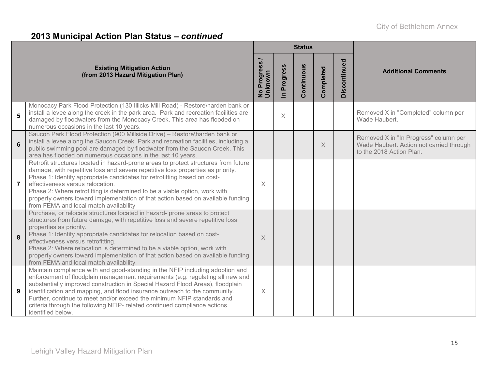# **2013 Municipal Action Plan Status –** *continued*

|                 |                                                                                                                                                                                                                                                                                                                                                                                                                                                                                                                   |                                     |                            | <b>Status</b> |           |              |                                                                                                               |
|-----------------|-------------------------------------------------------------------------------------------------------------------------------------------------------------------------------------------------------------------------------------------------------------------------------------------------------------------------------------------------------------------------------------------------------------------------------------------------------------------------------------------------------------------|-------------------------------------|----------------------------|---------------|-----------|--------------|---------------------------------------------------------------------------------------------------------------|
|                 | <b>Existing Mitigation Action</b><br>(from 2013 Hazard Mitigation Plan)                                                                                                                                                                                                                                                                                                                                                                                                                                           | No Progress <sub>/</sub><br>Unknown | Progress<br>$\blacksquare$ | Continuous    | Completed | Discontinued | <b>Additional Comments</b>                                                                                    |
| 5               | Monocacy Park Flood Protection (130 Illicks Mill Road) - Restore\harden bank or<br>install a levee along the creek in the park area. Park and recreation facilities are<br>damaged by floodwaters from the Monocacy Creek. This area has flooded on<br>numerous occasions in the last 10 years.                                                                                                                                                                                                                   |                                     | $\times$                   |               |           |              | Removed X in "Completed" column per<br>Wade Haubert.                                                          |
| $6\phantom{1}6$ | Saucon Park Flood Protection (900 Millside Drive) - Restore\harden bank or<br>install a levee along the Saucon Creek. Park and recreation facilities, including a<br>public swimming pool are damaged by floodwater from the Saucon Creek. This<br>area has flooded on numerous occasions in the last 10 years.                                                                                                                                                                                                   |                                     |                            |               | X         |              | Removed X in "In Progress" column per<br>Wade Haubert. Action not carried through<br>to the 2018 Action Plan. |
| $\overline{7}$  | Retrofit structures located in hazard-prone areas to protect structures from future<br>damage, with repetitive loss and severe repetitive loss properties as priority.<br>Phase 1: Identify appropriate candidates for retrofitting based on cost-<br>effectiveness versus relocation.<br>Phase 2: Where retrofitting is determined to be a viable option, work with<br>property owners toward implementation of that action based on available funding<br>from FEMA and local match availability                 | $\times$                            |                            |               |           |              |                                                                                                               |
| 8               | Purchase, or relocate structures located in hazard- prone areas to protect<br>structures from future damage, with repetitive loss and severe repetitive loss<br>properties as priority.<br>Phase 1: Identify appropriate candidates for relocation based on cost-<br>effectiveness versus retrofitting.<br>Phase 2: Where relocation is determined to be a viable option, work with<br>property owners toward implementation of that action based on available funding<br>from FEMA and local match availability. | $\times$                            |                            |               |           |              |                                                                                                               |
| 9               | Maintain compliance with and good-standing in the NFIP including adoption and<br>enforcement of floodplain management requirements (e.g. regulating all new and<br>substantially improved construction in Special Hazard Flood Areas), floodplain<br>identification and mapping, and flood insurance outreach to the community.<br>Further, continue to meet and/or exceed the minimum NFIP standards and<br>criteria through the following NFIP- related continued compliance actions<br>identified below.       | $\times$                            |                            |               |           |              |                                                                                                               |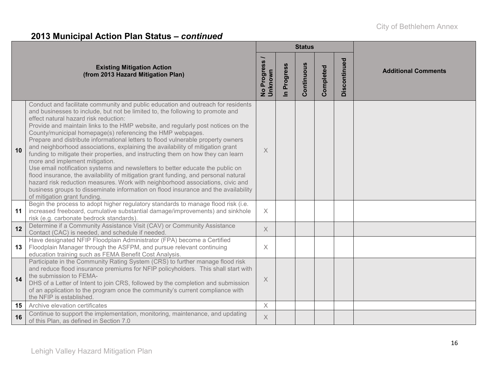# **2013 Municipal Action Plan Status –** *continued*

|    |                                                                                                                                                                                                                                                                                                                                                                                                                                                                                                                                                                                                                                                                                                                                                                                                                                                                                                                                                                                                                                            |                                      |                            | <b>Status</b> |           |              |                            |
|----|--------------------------------------------------------------------------------------------------------------------------------------------------------------------------------------------------------------------------------------------------------------------------------------------------------------------------------------------------------------------------------------------------------------------------------------------------------------------------------------------------------------------------------------------------------------------------------------------------------------------------------------------------------------------------------------------------------------------------------------------------------------------------------------------------------------------------------------------------------------------------------------------------------------------------------------------------------------------------------------------------------------------------------------------|--------------------------------------|----------------------------|---------------|-----------|--------------|----------------------------|
|    | <b>Existing Mitigation Action</b><br>(from 2013 Hazard Mitigation Plan)                                                                                                                                                                                                                                                                                                                                                                                                                                                                                                                                                                                                                                                                                                                                                                                                                                                                                                                                                                    | Progress<br>Unknown<br>$\frac{1}{2}$ | Progress<br>$\overline{a}$ | Continuous    | Completed | Discontinued | <b>Additional Comments</b> |
| 10 | Conduct and facilitate community and public education and outreach for residents<br>and businesses to include, but not be limited to, the following to promote and<br>effect natural hazard risk reduction:<br>Provide and maintain links to the HMP website, and regularly post notices on the<br>County/municipal homepage(s) referencing the HMP webpages.<br>Prepare and distribute informational letters to flood vulnerable property owners<br>and neighborhood associations, explaining the availability of mitigation grant<br>funding to mitigate their properties, and instructing them on how they can learn<br>more and implement mitigation.<br>Use email notification systems and newsletters to better educate the public on<br>flood insurance, the availability of mitigation grant funding, and personal natural<br>hazard risk reduction measures. Work with neighborhood associations, civic and<br>business groups to disseminate information on flood insurance and the availability<br>of mitigation grant funding. | $\times$                             |                            |               |           |              |                            |
| 11 | Begin the process to adopt higher regulatory standards to manage flood risk (i.e.<br>increased freeboard, cumulative substantial damage/improvements) and sinkhole<br>risk (e.g. carbonate bedrock standards)                                                                                                                                                                                                                                                                                                                                                                                                                                                                                                                                                                                                                                                                                                                                                                                                                              | $\chi$                               |                            |               |           |              |                            |
| 12 | Determine if a Community Assistance Visit (CAV) or Community Assistance<br>Contact (CAC) is needed, and schedule if needed.                                                                                                                                                                                                                                                                                                                                                                                                                                                                                                                                                                                                                                                                                                                                                                                                                                                                                                                | X                                    |                            |               |           |              |                            |
| 13 | Have designated NFIP Floodplain Administrator (FPA) become a Certified<br>Floodplain Manager through the ASFPM, and pursue relevant continuing<br>education training such as FEMA Benefit Cost Analysis.                                                                                                                                                                                                                                                                                                                                                                                                                                                                                                                                                                                                                                                                                                                                                                                                                                   | $\times$                             |                            |               |           |              |                            |
| 14 | Participate in the Community Rating System (CRS) to further manage flood risk<br>and reduce flood insurance premiums for NFIP policyholders. This shall start with<br>the submission to FEMA-<br>DHS of a Letter of Intent to join CRS, followed by the completion and submission<br>of an application to the program once the community's current compliance with<br>the NFIP is established.                                                                                                                                                                                                                                                                                                                                                                                                                                                                                                                                                                                                                                             | X                                    |                            |               |           |              |                            |
| 15 | Archive elevation certificates                                                                                                                                                                                                                                                                                                                                                                                                                                                                                                                                                                                                                                                                                                                                                                                                                                                                                                                                                                                                             | $\times$                             |                            |               |           |              |                            |
| 16 | Continue to support the implementation, monitoring, maintenance, and updating<br>of this Plan, as defined in Section 7.0                                                                                                                                                                                                                                                                                                                                                                                                                                                                                                                                                                                                                                                                                                                                                                                                                                                                                                                   | X                                    |                            |               |           |              |                            |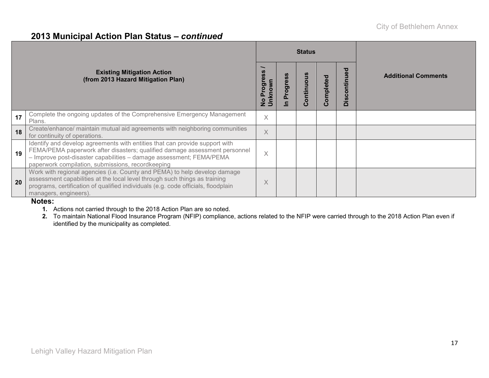#### **2013 Municipal Action Plan Status –** *continued*

|    |                                                                                                                                                                                                                                                                                       |                                                   |                                      | <b>Status</b> |                         |                          |                            |
|----|---------------------------------------------------------------------------------------------------------------------------------------------------------------------------------------------------------------------------------------------------------------------------------------|---------------------------------------------------|--------------------------------------|---------------|-------------------------|--------------------------|----------------------------|
|    | <b>Existing Mitigation Action</b><br>(from 2013 Hazard Mitigation Plan)                                                                                                                                                                                                               | Progres<br>know<br>S<br>$\mathbf{\overset{o}}{z}$ | 89<br>ಕಾ<br>$\bar{\mathbf{e}}$<br>Δ. | ontinuo       | ompleted<br>$\tilde{O}$ | ਠ<br>gu<br>ontin<br>Disc | <b>Additional Comments</b> |
| 17 | Complete the ongoing updates of the Comprehensive Emergency Management<br>Plans.                                                                                                                                                                                                      | $\times$                                          |                                      |               |                         |                          |                            |
| 18 | Create/enhance/ maintain mutual aid agreements with neighboring communities<br>for continuity of operations.                                                                                                                                                                          | X                                                 |                                      |               |                         |                          |                            |
| 19 | Identify and develop agreements with entities that can provide support with<br>FEMA/PEMA paperwork after disasters; qualified damage assessment personnel<br>- Improve post-disaster capabilities - damage assessment; FEMA/PEMA<br>paperwork compilation, submissions, recordkeeping | $\times$                                          |                                      |               |                         |                          |                            |
| 20 | Work with regional agencies (i.e. County and PEMA) to help develop damage<br>assessment capabilities at the local level through such things as training<br>programs, certification of qualified individuals (e.g. code officials, floodplain<br>managers, engineers).                 | X                                                 |                                      |               |                         |                          |                            |

#### **Notes:**

**1.** Actions not carried through to the 2018 Action Plan are so noted.

**2.** To maintain National Flood Insurance Program (NFIP) compliance, actions related to the NFIP were carried through to the 2018 Action Plan even if identified by the municipality as completed.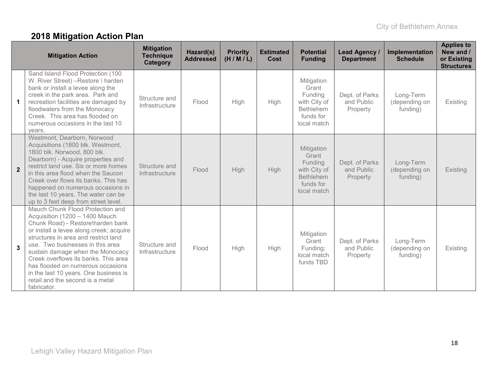# **2018 Mitigation Action Plan**

|                | <b>Mitigation Action</b>                                                                                                                                                                                                                                                                                                                                                                                                                    | <b>Mitigation</b><br><b>Technique</b><br><b>Category</b> | Hazard(s)<br><b>Addressed</b> | <b>Priority</b><br>(H/M/L) | <b>Estimated</b><br>Cost | <b>Potential</b><br><b>Funding</b>                                                             | <b>Lead Agency /</b><br><b>Department</b> | Implementation<br><b>Schedule</b>      | <b>Applies to</b><br>New and /<br>or Existing<br><b>Structures</b> |
|----------------|---------------------------------------------------------------------------------------------------------------------------------------------------------------------------------------------------------------------------------------------------------------------------------------------------------------------------------------------------------------------------------------------------------------------------------------------|----------------------------------------------------------|-------------------------------|----------------------------|--------------------------|------------------------------------------------------------------------------------------------|-------------------------------------------|----------------------------------------|--------------------------------------------------------------------|
| 1              | Sand Island Flood Protection (100<br>W. River Street) - Restore \ harden<br>bank or install a levee along the<br>creek in the park area. Park and<br>recreation facilities are damaged by<br>floodwaters from the Monocacy<br>Creek. This area has flooded on<br>numerous occasions in the last 10<br>vears.                                                                                                                                | Structure and<br>Infrastructure                          | Flood                         | High                       | High                     | Mitigation<br>Grant<br>Funding<br>with City of<br><b>Bethlehem</b><br>funds for<br>local match | Dept. of Parks<br>and Public<br>Property  | Long-Term<br>(depending on<br>funding) | Existing                                                           |
| $\overline{2}$ | Westmont, Dearborn, Norwood<br>Acquisitions (1800 blk. Westmont,<br>1800 blk. Norwood, 800 blk.<br>Dearborn) - Acquire properties and<br>restrict land use. Six or more homes<br>in this area flood when the Saucon<br>Creek over flows its banks. This has<br>happened on numerous occasions in<br>the last 10 years. The water can be<br>up to 3 feet deep from street level.                                                             | Structure and<br>Infrastructure                          | Flood                         | High                       | High                     | Mitigation<br>Grant<br>Funding<br>with City of<br><b>Bethlehem</b><br>funds for<br>local match | Dept. of Parks<br>and Public<br>Property  | Long-Term<br>(depending on<br>funding) | Existing                                                           |
| 3              | Mauch Chunk Flood Protection and<br>Acquisition (1200 - 1400 Mauch<br>Chunk Road) - Restore\harden bank<br>or install a levee along creek; acquire<br>structures in area and restrict land<br>use. Two businesses in this area<br>sustain damage when the Monocacy<br>Creek overflows its banks. This area<br>has flooded on numerous occasions<br>in the last 10 years. One business is<br>retail and the second is a metal<br>fabricator. | Structure and<br>Infrastructure                          | Flood                         | High                       | High                     | Mitigation<br>Grant<br>Funding;<br>local match<br>funds TBD                                    | Dept. of Parks<br>and Public<br>Property  | Long-Term<br>(depending on<br>funding) | Existing                                                           |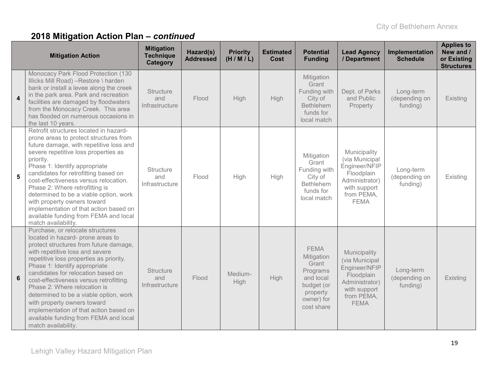|                         | <b>Mitigation Action</b>                                                                                                                                                                                                                                                                                                                                                                                                                                                                                                           | <b>Mitigation</b><br><b>Technique</b><br>Category | Hazard(s)<br><b>Addressed</b> | <b>Priority</b><br>(H/M/L) | <b>Estimated</b><br><b>Cost</b> | <b>Potential</b><br><b>Funding</b>                                                                                | <b>Lead Agency</b><br>/ Department                                                                                           | Implementation<br><b>Schedule</b>      | <b>Applies to</b><br>New and /<br>or Existing<br><b>Structures</b> |
|-------------------------|------------------------------------------------------------------------------------------------------------------------------------------------------------------------------------------------------------------------------------------------------------------------------------------------------------------------------------------------------------------------------------------------------------------------------------------------------------------------------------------------------------------------------------|---------------------------------------------------|-------------------------------|----------------------------|---------------------------------|-------------------------------------------------------------------------------------------------------------------|------------------------------------------------------------------------------------------------------------------------------|----------------------------------------|--------------------------------------------------------------------|
| $\overline{\mathbf{4}}$ | Monocacy Park Flood Protection (130<br>Illicks Mill Road) - Restore \ harden<br>bank or install a levee along the creek<br>in the park area. Park and recreation<br>facilities are damaged by floodwaters<br>from the Monocacy Creek. This area<br>has flooded on numerous occasions in<br>the last 10 years.                                                                                                                                                                                                                      | <b>Structure</b><br>and<br>Infrastructure         | Flood                         | High                       | <b>High</b>                     | Mitigation<br>Grant<br>Funding with<br>City of<br><b>Bethlehem</b><br>funds for<br>local match                    | Dept. of Parks<br>and Public<br>Property                                                                                     | Long-term<br>(depending on<br>funding) | Existing                                                           |
| 5 <sup>5</sup>          | Retrofit structures located in hazard-<br>prone areas to protect structures from<br>future damage, with repetitive loss and<br>severe repetitive loss properties as<br>priority.<br>Phase 1: Identify appropriate<br>candidates for retrofitting based on<br>cost-effectiveness versus relocation.<br>Phase 2: Where retrofitting is<br>determined to be a viable option, work<br>with property owners toward<br>implementation of that action based on<br>available funding from FEMA and local<br>match availability.            | <b>Structure</b><br>and<br>Infrastructure         | Flood                         | High                       | High                            | Mitigation<br>Grant<br>Funding with<br>City of<br>Bethlehem<br>funds for<br>local match                           | Municipality<br>(via Municipal<br>Engineer/NFIP<br>Floodplain<br>Administrator)<br>with support<br>from PEMA,<br><b>FEMA</b> | Long-term<br>(depending on<br>funding) | Existing                                                           |
| $6\phantom{1}$          | Purchase, or relocate structures<br>located in hazard- prone areas to<br>protect structures from future damage,<br>with repetitive loss and severe<br>repetitive loss properties as priority.<br>Phase 1: Identify appropriate<br>candidates for relocation based on<br>cost-effectiveness versus retrofitting.<br>Phase 2: Where relocation is<br>determined to be a viable option, work<br>with property owners toward<br>implementation of that action based on<br>available funding from FEMA and local<br>match availability. | <b>Structure</b><br>and<br>Infrastructure         | Flood                         | Medium-<br><b>High</b>     | High                            | <b>FEMA</b><br>Mitigation<br>Grant<br>Programs<br>and local<br>budget (or<br>property<br>owner) for<br>cost share | Municipality<br>(via Municipal<br>Engineer/NFIP<br>Floodplain<br>Administrator)<br>with support<br>from PEMA,<br><b>FEMA</b> | Long-term<br>(depending on<br>funding) | Existing                                                           |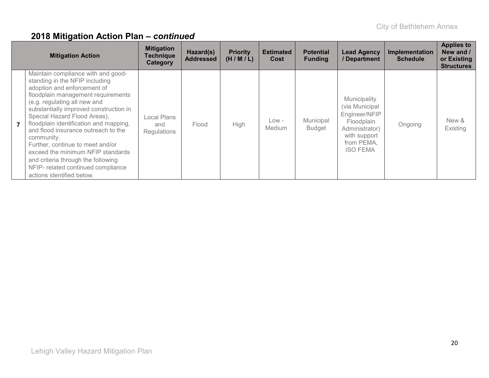|                | <b>Mitigation Action</b>                                                                                                                                                                                                                                                                                                                                                                                                                                                                                                             | <b>Mitigation</b><br><b>Technique</b><br>Category | Hazard(s)<br><b>Addressed</b> | <b>Priority</b><br>(H/M/L) | <b>Estimated</b><br>Cost | <b>Potential</b><br><b>Funding</b> | <b>Lead Agency</b><br>/ Department                                                                                               | Implementation<br><b>Schedule</b> | <b>Applies to</b><br>New and /<br>or Existing<br><b>Structures</b> |
|----------------|--------------------------------------------------------------------------------------------------------------------------------------------------------------------------------------------------------------------------------------------------------------------------------------------------------------------------------------------------------------------------------------------------------------------------------------------------------------------------------------------------------------------------------------|---------------------------------------------------|-------------------------------|----------------------------|--------------------------|------------------------------------|----------------------------------------------------------------------------------------------------------------------------------|-----------------------------------|--------------------------------------------------------------------|
| $\overline{7}$ | Maintain compliance with and good-<br>standing in the NFIP including<br>adoption and enforcement of<br>floodplain management requirements<br>(e.g. regulating all new and<br>substantially improved construction in<br>Special Hazard Flood Areas),<br>floodplain identification and mapping,<br>and flood insurance outreach to the<br>community.<br>Further, continue to meet and/or<br>exceed the minimum NFIP standards<br>and criteria through the following<br>NFIP- related continued compliance<br>actions identified below. | Local Plans<br>and<br>Regulations                 | Flood                         | High                       | $Low -$<br><b>Medium</b> | Municipal<br><b>Budget</b>         | Municipality<br>(via Municipal<br>Engineer/NFIP<br>Floodplain<br>Administrator)<br>with support<br>from PEMA,<br><b>ISO FEMA</b> | Ongoing                           | New &<br>Existing                                                  |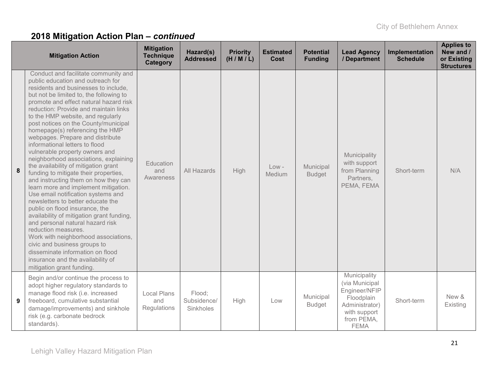|   | <b>Mitigation Action</b>                                                                                                                                                                                                                                                                                                                                                                                                                                                                                                                                                                                                                                                                                                                                                                                                                                                                                                                                                                                                                                                             | <b>Mitigation</b><br><b>Technique</b><br>Category | Hazard(s)<br><b>Addressed</b>      | <b>Priority</b><br>(H/M/L) | <b>Estimated</b><br>Cost | <b>Potential</b><br><b>Funding</b> | <b>Lead Agency</b><br>/ Department                                                                                           | Implementation<br><b>Schedule</b> | <b>Applies to</b><br>New and /<br>or Existing<br><b>Structures</b> |
|---|--------------------------------------------------------------------------------------------------------------------------------------------------------------------------------------------------------------------------------------------------------------------------------------------------------------------------------------------------------------------------------------------------------------------------------------------------------------------------------------------------------------------------------------------------------------------------------------------------------------------------------------------------------------------------------------------------------------------------------------------------------------------------------------------------------------------------------------------------------------------------------------------------------------------------------------------------------------------------------------------------------------------------------------------------------------------------------------|---------------------------------------------------|------------------------------------|----------------------------|--------------------------|------------------------------------|------------------------------------------------------------------------------------------------------------------------------|-----------------------------------|--------------------------------------------------------------------|
| 8 | Conduct and facilitate community and<br>public education and outreach for<br>residents and businesses to include,<br>but not be limited to, the following to<br>promote and effect natural hazard risk<br>reduction: Provide and maintain links<br>to the HMP website, and regularly<br>post notices on the County/municipal<br>homepage(s) referencing the HMP<br>webpages. Prepare and distribute<br>informational letters to flood<br>vulnerable property owners and<br>neighborhood associations, explaining<br>the availability of mitigation grant<br>funding to mitigate their properties,<br>and instructing them on how they can<br>learn more and implement mitigation.<br>Use email notification systems and<br>newsletters to better educate the<br>public on flood insurance, the<br>availability of mitigation grant funding,<br>and personal natural hazard risk<br>reduction measures.<br>Work with neighborhood associations,<br>civic and business groups to<br>disseminate information on flood<br>insurance and the availability of<br>mitigation grant funding. | Education<br>and<br>Awareness                     | All Hazards                        | High                       | $Low -$<br>Medium        | Municipal<br><b>Budget</b>         | Municipality<br>with support<br>from Planning<br>Partners,<br>PEMA, FEMA                                                     | Short-term                        | N/A                                                                |
| 9 | Begin and/or continue the process to<br>adopt higher regulatory standards to<br>manage flood risk (i.e. increased<br>freeboard, cumulative substantial<br>damage/improvements) and sinkhole<br>risk (e.g. carbonate bedrock<br>standards).                                                                                                                                                                                                                                                                                                                                                                                                                                                                                                                                                                                                                                                                                                                                                                                                                                           | <b>Local Plans</b><br>and<br>Regulations          | Flood;<br>Subsidence/<br>Sinkholes | High                       | Low                      | Municipal<br><b>Budget</b>         | Municipality<br>(via Municipal<br>Engineer/NFIP<br>Floodplain<br>Administrator)<br>with support<br>from PEMA,<br><b>FEMA</b> | Short-term                        | New &<br>Existing                                                  |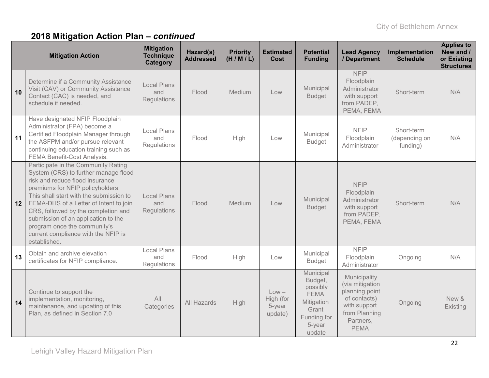|    | <b>Mitigation Action</b>                                                                                                                                                                                                                                                                                                                                                                                     | <b>Mitigation</b><br><b>Technique</b><br>Category | Hazard(s)<br><b>Addressed</b> | <b>Priority</b><br>(H/M/L) | <b>Estimated</b><br><b>Cost</b>           | <b>Potential</b><br><b>Funding</b>                                                                        | <b>Lead Agency</b><br>/ Department                                                                                             | Implementation<br><b>Schedule</b>       | <b>Applies to</b><br>New and /<br>or Existing<br><b>Structures</b> |
|----|--------------------------------------------------------------------------------------------------------------------------------------------------------------------------------------------------------------------------------------------------------------------------------------------------------------------------------------------------------------------------------------------------------------|---------------------------------------------------|-------------------------------|----------------------------|-------------------------------------------|-----------------------------------------------------------------------------------------------------------|--------------------------------------------------------------------------------------------------------------------------------|-----------------------------------------|--------------------------------------------------------------------|
| 10 | Determine if a Community Assistance<br>Visit (CAV) or Community Assistance<br>Contact (CAC) is needed, and<br>schedule if needed.                                                                                                                                                                                                                                                                            | <b>Local Plans</b><br>and<br>Regulations          | Flood                         | Medium                     | Low                                       | Municipal<br><b>Budget</b>                                                                                | <b>NFIP</b><br>Floodplain<br>Administrator<br>with support<br>from PADEP,<br>PEMA, FEMA                                        | Short-term                              | N/A                                                                |
| 11 | Have designated NFIP Floodplain<br>Administrator (FPA) become a<br>Certified Floodplain Manager through<br>the ASFPM and/or pursue relevant<br>continuing education training such as<br>FEMA Benefit-Cost Analysis.                                                                                                                                                                                          | Local Plans<br>and<br>Regulations                 | Flood                         | High                       | Low                                       | Municipal<br><b>Budget</b>                                                                                | <b>NFIP</b><br>Floodplain<br>Administrator                                                                                     | Short-term<br>(depending on<br>funding) | N/A                                                                |
| 12 | Participate in the Community Rating<br>System (CRS) to further manage flood<br>risk and reduce flood insurance<br>premiums for NFIP policyholders.<br>This shall start with the submission to<br>FEMA-DHS of a Letter of Intent to join<br>CRS, followed by the completion and<br>submission of an application to the<br>program once the community's<br>current compliance with the NFIP is<br>established. | <b>Local Plans</b><br>and<br>Regulations          | Flood                         | Medium                     | Low                                       | Municipal<br><b>Budget</b>                                                                                | <b>NFIP</b><br>Floodplain<br>Administrator<br>with support<br>from PADEP,<br>PEMA, FEMA                                        | Short-term                              | N/A                                                                |
| 13 | Obtain and archive elevation<br>certificates for NFIP compliance.                                                                                                                                                                                                                                                                                                                                            | <b>Local Plans</b><br>and<br>Regulations          | Flood                         | High                       | Low                                       | Municipal<br><b>Budget</b>                                                                                | <b>NFIP</b><br>Floodplain<br>Administrator                                                                                     | Ongoing                                 | N/A                                                                |
| 14 | Continue to support the<br>implementation, monitoring,<br>maintenance, and updating of this<br>Plan, as defined in Section 7.0                                                                                                                                                                                                                                                                               | All<br>Categories                                 | All Hazards                   | High                       | $Low -$<br>High (for<br>5-year<br>update) | Municipal<br>Budget,<br>possibly<br><b>FEMA</b><br>Mitigation<br>Grant<br>Funding for<br>5-year<br>update | Municipality<br>(via mitigation<br>planning point<br>of contacts)<br>with support<br>from Planning<br>Partners,<br><b>PEMA</b> | Ongoing                                 | New &<br>Existing                                                  |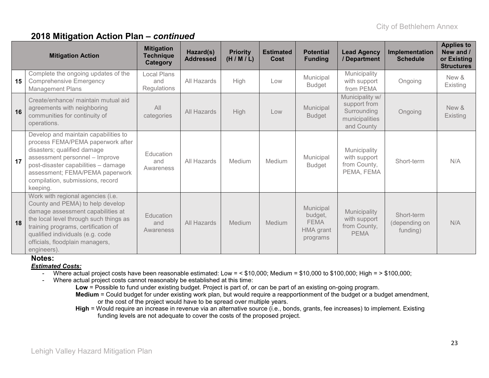|    | <b>Mitigation Action</b>                                                                                                                                                                                                                                                          | <b>Mitigation</b><br><b>Technique</b><br><b>Category</b> | Hazard(s)<br><b>Addressed</b> | <b>Priority</b><br>(H/M/L) | <b>Estimated</b><br>Cost | <b>Potential</b><br><b>Funding</b>                           | <b>Lead Agency</b><br>/ Department                                             | Implementation<br><b>Schedule</b>       | <b>Applies to</b><br>New and /<br>or Existing<br><b>Structures</b> |
|----|-----------------------------------------------------------------------------------------------------------------------------------------------------------------------------------------------------------------------------------------------------------------------------------|----------------------------------------------------------|-------------------------------|----------------------------|--------------------------|--------------------------------------------------------------|--------------------------------------------------------------------------------|-----------------------------------------|--------------------------------------------------------------------|
| 15 | Complete the ongoing updates of the<br><b>Comprehensive Emergency</b><br><b>Management Plans</b>                                                                                                                                                                                  | Local Plans<br>and<br>Regulations                        | All Hazards                   | High                       | Low                      | Municipal<br><b>Budget</b>                                   | Municipality<br>with support<br>from PEMA                                      | Ongoing                                 | New &<br>Existing                                                  |
| 16 | Create/enhance/ maintain mutual aid<br>agreements with neighboring<br>communities for continuity of<br>operations.                                                                                                                                                                | All<br>categories                                        | All Hazards                   | <b>High</b>                | Low                      | Municipal<br><b>Budget</b>                                   | Municipality w/<br>support from<br>Surrounding<br>municipalities<br>and County | Ongoing                                 | New &<br>Existing                                                  |
| 17 | Develop and maintain capabilities to<br>process FEMA/PEMA paperwork after<br>disasters; qualified damage<br>assessment personnel - Improve<br>post-disaster capabilities - damage<br>assessment; FEMA/PEMA paperwork<br>compilation, submissions, record<br>keeping.              | Education<br>and<br>Awareness                            | All Hazards                   | Medium                     | Medium                   | Municipal<br><b>Budget</b>                                   | Municipality<br>with support<br>from County,<br>PEMA, FEMA                     | Short-term                              | N/A                                                                |
| 18 | Work with regional agencies (i.e.<br>County and PEMA) to help develop<br>damage assessment capabilities at<br>the local level through such things as<br>training programs, certification of<br>qualified individuals (e.g. code<br>officials, floodplain managers,<br>engineers). | Education<br>and<br>Awareness                            | All Hazards                   | Medium                     | <b>Medium</b>            | Municipal<br>budget,<br><b>FEMA</b><br>HMA grant<br>programs | Municipality<br>with support<br>from County,<br><b>PEMA</b>                    | Short-term<br>(depending on<br>funding) | N/A                                                                |

#### **Notes:**

#### *Estimated Costs:*

- Where actual project costs have been reasonable estimated: Low = < \$10,000; Medium = \$10,000 to \$100,000; High = > \$100,000;
- Where actual project costs cannot reasonably be established at this time:
	- **Low** = Possible to fund under existing budget. Project is part of, or can be part of an existing on-going program. **Medium** = Could budget for under existing work plan, but would require a reapportionment of the budget or a budget amendment, or the cost of the project would have to be spread over multiple years.
	- **High** = Would require an increase in revenue via an alternative source (i.e., bonds, grants, fee increases) to implement. Existing funding levels are not adequate to cover the costs of the proposed project.